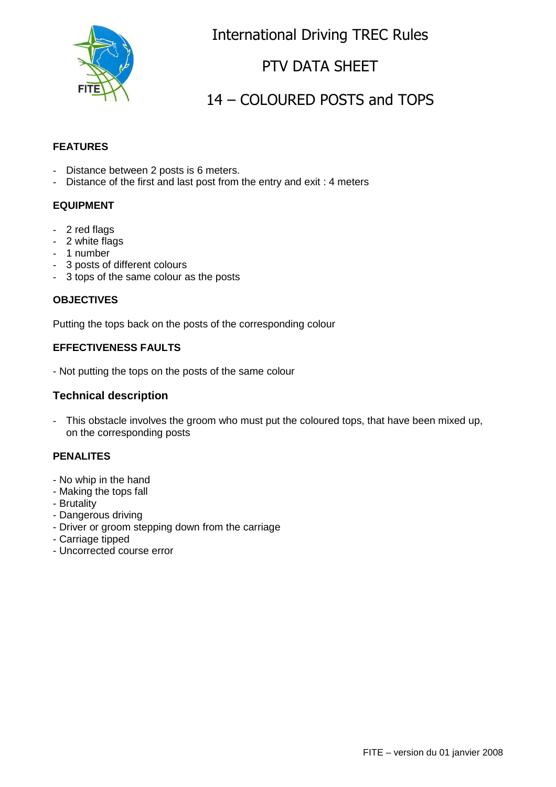

International Driving TREC Rules

### PTV DATA SHEET

# 14 – COLOURED POSTS and TOPS

#### **FEATURES**

- Distance between 2 posts is 6 meters.
- Distance of the first and last post from the entry and exit : 4 meters

#### **EQUIPMENT**

- 2 red flags
- 2 white flags
- 1 number
- 3 posts of different colours
- 3 tops of the same colour as the posts

#### **OBJECTIVES**

Putting the tops back on the posts of the corresponding colour

#### **EFFECTIVENESS FAULTS**

- Not putting the tops on the posts of the same colour

#### **Technical description**

- This obstacle involves the groom who must put the coloured tops, that have been mixed up, on the corresponding posts

### **PENALITES**

- No whip in the hand
- Making the tops fall
- Brutality
- Dangerous driving
- Driver or groom stepping down from the carriage
- Carriage tipped
- Uncorrected course error